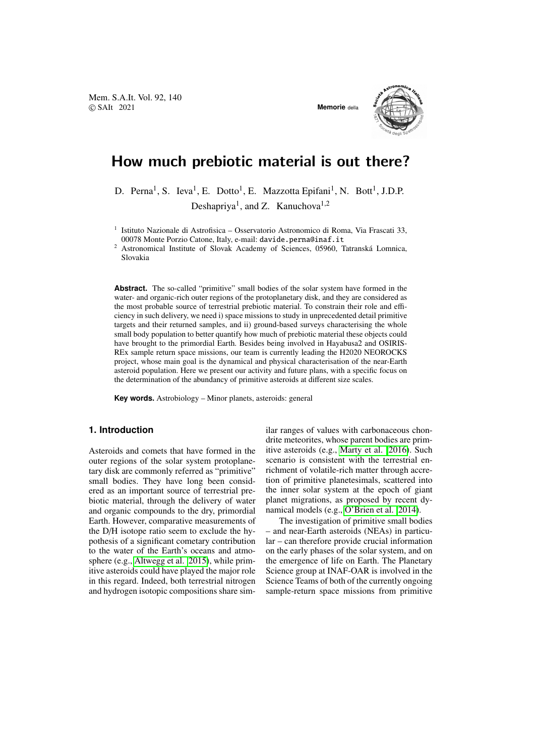Mem. S.A.It. Vol. 92, 140 © SAIt 2021 **Memorie** della



# How much prebiotic material is out there?

D. Perna<sup>1</sup>, S. Ieva<sup>1</sup>, E. Dotto<sup>1</sup>, E. Mazzotta Epifani<sup>1</sup>, N. Bott<sup>1</sup>, J.D.P. Deshapriya<sup>1</sup>, and Z. Kanuchova<sup>1,2</sup>

<sup>1</sup> Istituto Nazionale di Astrofisica – Osservatorio Astronomico di Roma, Via Frascati 33, 00078 Monte Porzio Catone, Italy, e-mail: davide.perna@inaf.it

<sup>2</sup> Astronomical Institute of Slovak Academy of Sciences, 05960, Tatranská Lomnica, Slovakia

**Abstract.** The so-called "primitive" small bodies of the solar system have formed in the water- and organic-rich outer regions of the protoplanetary disk, and they are considered as the most probable source of terrestrial prebiotic material. To constrain their role and efficiency in such delivery, we need i) space missions to study in unprecedented detail primitive targets and their returned samples, and ii) ground-based surveys characterising the whole small body population to better quantify how much of prebiotic material these objects could have brought to the primordial Earth. Besides being involved in Hayabusa2 and OSIRIS-REx sample return space missions, our team is currently leading the H2020 NEOROCKS project, whose main goal is the dynamical and physical characterisation of the near-Earth asteroid population. Here we present our activity and future plans, with a specific focus on the determination of the abundancy of primitive asteroids at different size scales.

**Key words.** Astrobiology – Minor planets, asteroids: general

## **1. Introduction**

Asteroids and comets that have formed in the outer regions of the solar system protoplanetary disk are commonly referred as "primitive" small bodies. They have long been considered as an important source of terrestrial prebiotic material, through the delivery of water and organic compounds to the dry, primordial Earth. However, comparative measurements of the D/H isotope ratio seem to exclude the hypothesis of a significant cometary contribution to the water of the Earth's oceans and atmosphere (e.g., [Altwegg et al. 2015\)](#page-3-0), while primitive asteroids could have played the major role in this regard. Indeed, both terrestrial nitrogen and hydrogen isotopic compositions share similar ranges of values with carbonaceous chondrite meteorites, whose parent bodies are primitive asteroids (e.g., [Marty et al. 2016\)](#page-3-1). Such scenario is consistent with the terrestrial enrichment of volatile-rich matter through accretion of primitive planetesimals, scattered into the inner solar system at the epoch of giant planet migrations, as proposed by recent dynamical models (e.g., [O'Brien et al. 2014\)](#page-3-2).

The investigation of primitive small bodies – and near-Earth asteroids (NEAs) in particular – can therefore provide crucial information on the early phases of the solar system, and on the emergence of life on Earth. The Planetary Science group at INAF-OAR is involved in the Science Teams of both of the currently ongoing sample-return space missions from primitive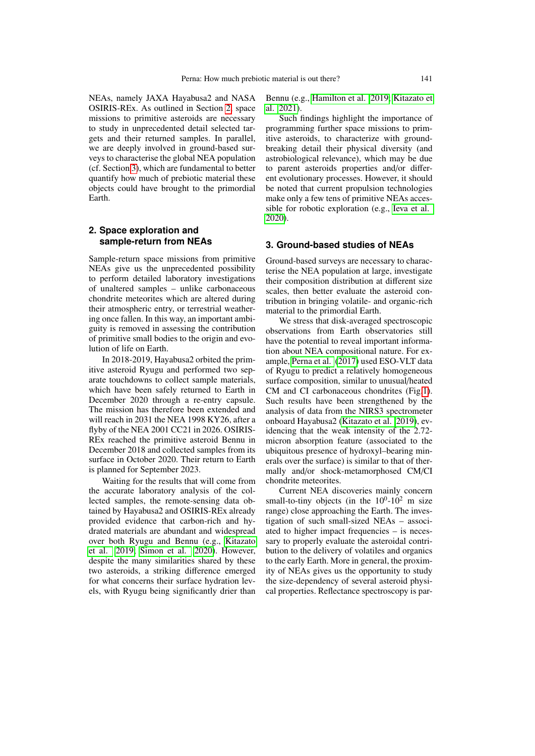NEAs, namely JAXA Hayabusa2 and NASA OSIRIS-REx. As outlined in Section [2,](#page-1-0) space missions to primitive asteroids are necessary to study in unprecedented detail selected targets and their returned samples. In parallel, we are deeply involved in ground-based surveys to characterise the global NEA population (cf. Section [3\)](#page-1-1), which are fundamental to better quantify how much of prebiotic material these objects could have brought to the primordial Earth.

### <span id="page-1-0"></span>**2. Space exploration and sample-return from NEAs**

Sample-return space missions from primitive NEAs give us the unprecedented possibility to perform detailed laboratory investigations of unaltered samples – unlike carbonaceous chondrite meteorites which are altered during their atmospheric entry, or terrestrial weathering once fallen. In this way, an important ambiguity is removed in assessing the contribution of primitive small bodies to the origin and evolution of life on Earth.

In 2018-2019, Hayabusa2 orbited the primitive asteroid Ryugu and performed two separate touchdowns to collect sample materials, which have been safely returned to Earth in December 2020 through a re-entry capsule. The mission has therefore been extended and will reach in 2031 the NEA 1998 KY26, after a flyby of the NEA 2001 CC21 in 2026. OSIRIS-REx reached the primitive asteroid Bennu in December 2018 and collected samples from its surface in October 2020. Their return to Earth is planned for September 2023.

Waiting for the results that will come from the accurate laboratory analysis of the collected samples, the remote-sensing data obtained by Hayabusa2 and OSIRIS-REx already provided evidence that carbon-rich and hydrated materials are abundant and widespread over both Ryugu and Bennu (e.g., [Kitazato](#page-3-3) [et al. 2019;](#page-3-3) [Simon et al. 2020\)](#page-3-4). However, despite the many similarities shared by these two asteroids, a striking difference emerged for what concerns their surface hydration levels, with Ryugu being significantly drier than Bennu (e.g., [Hamilton et al. 2019;](#page-3-5) [Kitazato et](#page-3-6) [al. 2021\)](#page-3-6).

Such findings highlight the importance of programming further space missions to primitive asteroids, to characterize with groundbreaking detail their physical diversity (and astrobiological relevance), which may be due to parent asteroids properties and/or different evolutionary processes. However, it should be noted that current propulsion technologies make only a few tens of primitive NEAs accessible for robotic exploration (e.g., [Ieva et al.](#page-3-7) [2020\)](#page-3-7).

#### <span id="page-1-1"></span>**3. Ground-based studies of NEAs**

Ground-based surveys are necessary to characterise the NEA population at large, investigate their composition distribution at different size scales, then better evaluate the asteroid contribution in bringing volatile- and organic-rich material to the primordial Earth.

We stress that disk-averaged spectroscopic observations from Earth observatories still have the potential to reveal important information about NEA compositional nature. For example, [Perna et al.](#page-3-8) [\(2017\)](#page-3-8) used ESO-VLT data of Ryugu to predict a relatively homogeneous surface composition, similar to unusual/heated CM and CI carbonaceous chondrites (Fig[.1\)](#page-2-0). Such results have been strengthened by the analysis of data from the NIRS3 spectrometer onboard Hayabusa2 [\(Kitazato et al. 2019\)](#page-3-3), evidencing that the weak intensity of the 2.72 micron absorption feature (associated to the ubiquitous presence of hydroxyl–bearing minerals over the surface) is similar to that of thermally and/or shock-metamorphosed CM/CI chondrite meteorites.

Current NEA discoveries mainly concern small-to-tiny objects (in the  $10^0$ - $10^2$  m size range) close approaching the Earth. The investigation of such small-sized NEAs – associated to higher impact frequencies – is necessary to properly evaluate the asteroidal contribution to the delivery of volatiles and organics to the early Earth. More in general, the proximity of NEAs gives us the opportunity to study the size-dependency of several asteroid physical properties. Reflectance spectroscopy is par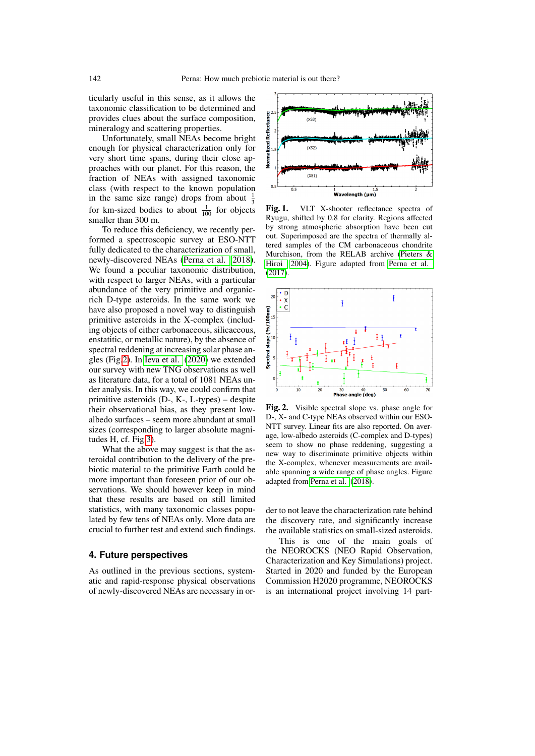ticularly useful in this sense, as it allows the taxonomic classification to be determined and provides clues about the surface composition, mineralogy and scattering properties.

Unfortunately, small NEAs become bright enough for physical characterization only for very short time spans, during their close approaches with our planet. For this reason, the fraction of NEAs with assigned taxonomic class (with respect to the known population in the same size range) drops from about  $\frac{1}{3}$ for km-sized bodies to about  $\frac{1}{100}$  for objects smaller than 300 m.

To reduce this deficiency, we recently performed a spectroscopic survey at ESO-NTT fully dedicated to the characterization of small, newly-discovered NEAs [\(Perna et al. 2018\)](#page-3-9). We found a peculiar taxonomic distribution, with respect to larger NEAs, with a particular abundance of the very primitive and organicrich D-type asteroids. In the same work we have also proposed a novel way to distinguish primitive asteroids in the X-complex (including objects of either carbonaceous, silicaceous, enstatitic, or metallic nature), by the absence of spectral reddening at increasing solar phase angles (Fig[.2\)](#page-2-1). In [Ieva et al.](#page-3-7) [\(2020\)](#page-3-7) we extended our survey with new TNG observations as well as literature data, for a total of 1081 NEAs under analysis. In this way, we could confirm that primitive asteroids (D-, K-, L-types) – despite their observational bias, as they present lowalbedo surfaces – seem more abundant at small sizes (corresponding to larger absolute magnitudes H, cf. Fig[.3\)](#page-3-10).

What the above may suggest is that the asteroidal contribution to the delivery of the prebiotic material to the primitive Earth could be more important than foreseen prior of our observations. We should however keep in mind that these results are based on still limited statistics, with many taxonomic classes populated by few tens of NEAs only. More data are crucial to further test and extend such findings.

### **4. Future perspectives**

As outlined in the previous sections, systematic and rapid-response physical observations of newly-discovered NEAs are necessary in or-



<span id="page-2-0"></span>Fig. 1. VLT X-shooter reflectance spectra of Ryugu, shifted by 0.8 for clarity. Regions affected by strong atmospheric absorption have been cut out. Superimposed are the spectra of thermally altered samples of the CM carbonaceous chondrite Murchison, from the RELAB archive [\(Pieters &](#page-3-11) [Hiroi 2004\)](#page-3-11). Figure adapted from [Perna et al.](#page-3-8) [\(2017\)](#page-3-8).



<span id="page-2-1"></span>Fig. 2. Visible spectral slope vs. phase angle for D-, X- and C-type NEAs observed within our ESO-NTT survey. Linear fits are also reported. On average, low-albedo asteroids (C-complex and D-types) seem to show no phase reddening, suggesting a new way to discriminate primitive objects within the X-complex, whenever measurements are available spanning a wide range of phase angles. Figure adapted from [Perna et al.](#page-3-9) [\(2018\)](#page-3-9).

der to not leave the characterization rate behind the discovery rate, and significantly increase the available statistics on small-sized asteroids.

This is one of the main goals of the NEOROCKS (NEO Rapid Observation, Characterization and Key Simulations) project. Started in 2020 and funded by the European Commission H2020 programme, NEOROCKS is an international project involving 14 part-